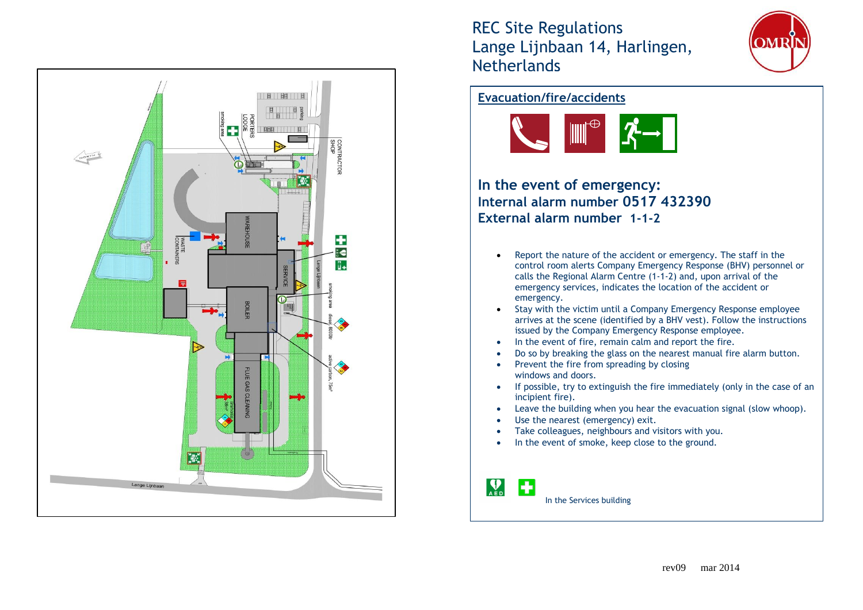

REC Site Regulations Lange Lijnbaan 14, Harlingen, **Netherlands** 



## **Evacuation/fire/accidents**



**In the event of emergency: Internal alarm number 0517 432390 External alarm number 1-1-2**

- Report the nature of the accident or emergency. The staff in the control room alerts Company Emergency Response (BHV) personnel or calls the Regional Alarm Centre (1-1-2) and, upon arrival of the emergency services, indicates the location of the accident or emergency.
- Stay with the victim until a Company Emergency Response employee arrives at the scene (identified by a BHV vest). Follow the instructions issued by the Company Emergency Response employee.
- In the event of fire, remain calm and report the fire.
- Do so by breaking the glass on the nearest manual fire alarm button.
- Prevent the fire from spreading by closing windows and doors.
- If possible, try to extinguish the fire immediately (only in the case of an incipient fire).
- Leave the building when you hear the evacuation signal (slow whoop).
- Use the nearest (emergency) exit.
- Take colleagues, neighbours and visitors with you.
- In the event of smoke, keep close to the ground.

Ð In the Services building

 $\mathbf{P}_{\mathbf{A}}$